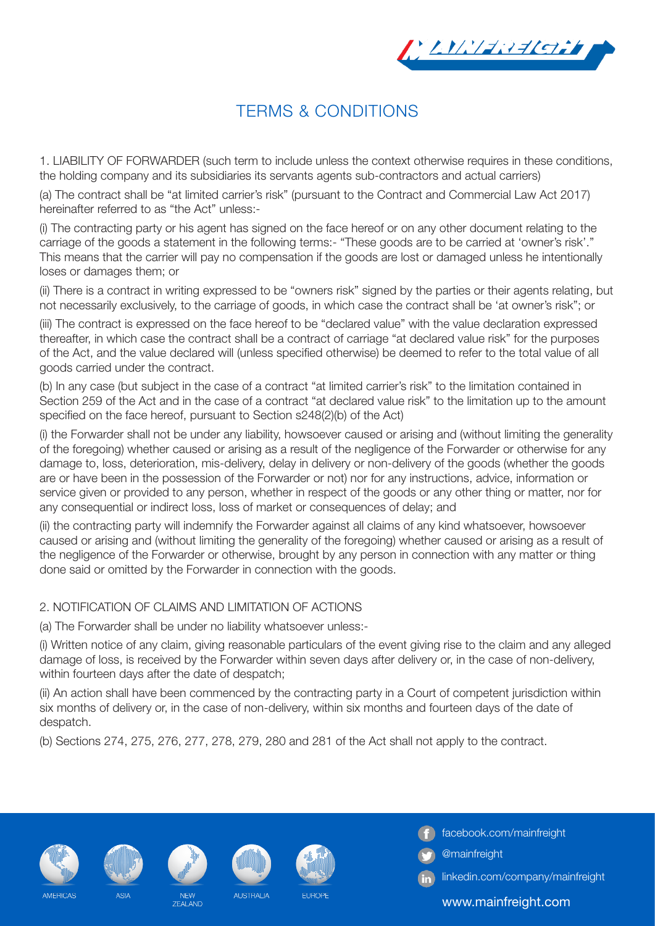

## TERMS & CONDITIONS

1. LIABILITY OF FORWARDER (such term to include unless the context otherwise requires in these conditions, the holding company and its subsidiaries its servants agents sub-contractors and actual carriers)

(a) The contract shall be "at limited carrier's risk" (pursuant to the Contract and Commercial Law Act 2017) hereinafter referred to as "the Act" unless:-

(i) The contracting party or his agent has signed on the face hereof or on any other document relating to the carriage of the goods a statement in the following terms:- "These goods are to be carried at 'owner's risk'." This means that the carrier will pay no compensation if the goods are lost or damaged unless he intentionally loses or damages them; or

(ii) There is a contract in writing expressed to be "owners risk" signed by the parties or their agents relating, but not necessarily exclusively, to the carriage of goods, in which case the contract shall be 'at owner's risk"; or

(iii) The contract is expressed on the face hereof to be "declared value" with the value declaration expressed thereafter, in which case the contract shall be a contract of carriage "at declared value risk" for the purposes of the Act, and the value declared will (unless specified otherwise) be deemed to refer to the total value of all goods carried under the contract.

(b) In any case (but subject in the case of a contract "at limited carrier's risk" to the limitation contained in Section 259 of the Act and in the case of a contract "at declared value risk" to the limitation up to the amount specified on the face hereof, pursuant to Section s248(2)(b) of the Act)

(i) the Forwarder shall not be under any liability, howsoever caused or arising and (without limiting the generality of the foregoing) whether caused or arising as a result of the negligence of the Forwarder or otherwise for any damage to, loss, deterioration, mis-delivery, delay in delivery or non-delivery of the goods (whether the goods are or have been in the possession of the Forwarder or not) nor for any instructions, advice, information or service given or provided to any person, whether in respect of the goods or any other thing or matter, nor for any consequential or indirect loss, loss of market or consequences of delay; and

(ii) the contracting party will indemnify the Forwarder against all claims of any kind whatsoever, howsoever caused or arising and (without limiting the generality of the foregoing) whether caused or arising as a result of the negligence of the Forwarder or otherwise, brought by any person in connection with any matter or thing done said or omitted by the Forwarder in connection with the goods.

## 2. NOTIFICATION OF CLAIMS AND LIMITATION OF ACTIONS

(a) The Forwarder shall be under no liability whatsoever unless:-

(i) Written notice of any claim, giving reasonable particulars of the event giving rise to the claim and any alleged damage of loss, is received by the Forwarder within seven days after delivery or, in the case of non-delivery, within fourteen days after the date of despatch;

(ii) An action shall have been commenced by the contracting party in a Court of competent jurisdiction within six months of delivery or, in the case of non-delivery, within six months and fourteen days of the date of despatch.

(b) Sections 274, 275, 276, 277, 278, 279, 280 and 281 of the Act shall not apply to the contract.











AUSTRALIA



**FUROPE** 

facebook.com/mainfreight

- @mainfreight
- linkedin.com/company/mainfreight

www.mainfreight.com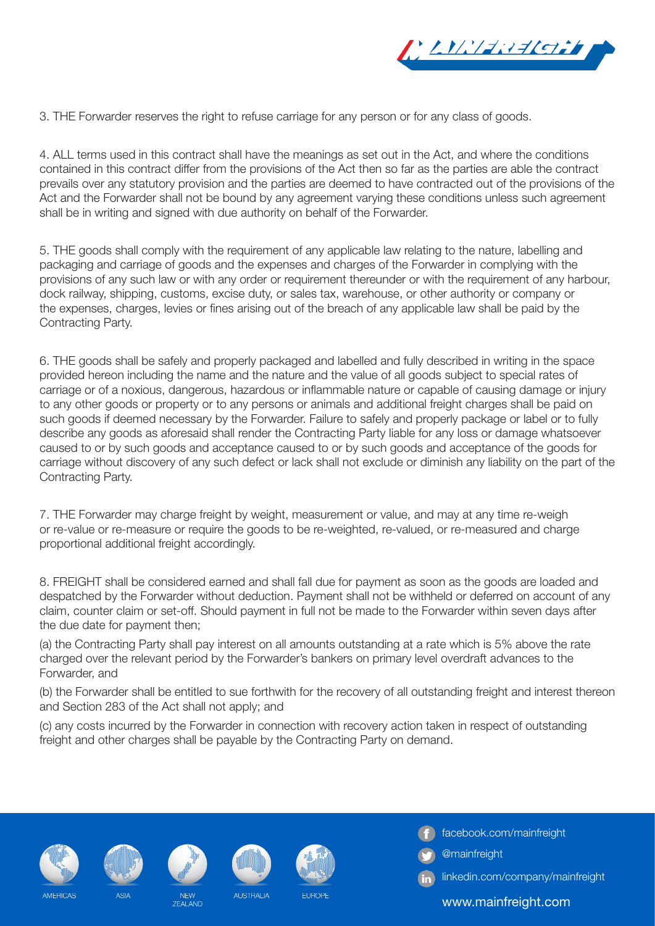

3. THE Forwarder reserves the right to refuse carriage for any person or for any class of goods.

4. ALL terms used in this contract shall have the meanings as set out in the Act, and where the conditions contained in this contract differ from the provisions of the Act then so far as the parties are able the contract prevails over any statutory provision and the parties are deemed to have contracted out of the provisions of the Act and the Forwarder shall not be bound by any agreement varying these conditions unless such agreement shall be in writing and signed with due authority on behalf of the Forwarder.

5. THE goods shall comply with the requirement of any applicable law relating to the nature, labelling and packaging and carriage of goods and the expenses and charges of the Forwarder in complying with the provisions of any such law or with any order or requirement thereunder or with the requirement of any harbour, dock railway, shipping, customs, excise duty, or sales tax, warehouse, or other authority or company or the expenses, charges, levies or fines arising out of the breach of any applicable law shall be paid by the Contracting Party.

6. THE goods shall be safely and properly packaged and labelled and fully described in writing in the space provided hereon including the name and the nature and the value of all goods subject to special rates of carriage or of a noxious, dangerous, hazardous or inflammable nature or capable of causing damage or injury to any other goods or property or to any persons or animals and additional freight charges shall be paid on such goods if deemed necessary by the Forwarder. Failure to safely and properly package or label or to fully describe any goods as aforesaid shall render the Contracting Party liable for any loss or damage whatsoever caused to or by such goods and acceptance caused to or by such goods and acceptance of the goods for carriage without discovery of any such defect or lack shall not exclude or diminish any liability on the part of the Contracting Party.

7. THE Forwarder may charge freight by weight, measurement or value, and may at any time re-weigh or re-value or re-measure or require the goods to be re-weighted, re-valued, or re-measured and charge proportional additional freight accordingly.

8. FREIGHT shall be considered earned and shall fall due for payment as soon as the goods are loaded and despatched by the Forwarder without deduction. Payment shall not be withheld or deferred on account of any claim, counter claim or set-off. Should payment in full not be made to the Forwarder within seven days after the due date for payment then;

(a) the Contracting Party shall pay interest on all amounts outstanding at a rate which is 5% above the rate charged over the relevant period by the Forwarder's bankers on primary level overdraft advances to the Forwarder, and

(b) the Forwarder shall be entitled to sue forthwith for the recovery of all outstanding freight and interest thereon and Section 283 of the Act shall not apply; and

(c) any costs incurred by the Forwarder in connection with recovery action taken in respect of outstanding freight and other charges shall be payable by the Contracting Party on demand.











AUSTRALIA

**FUROPE** 

facebook.com/mainfreight

- @mainfreight
- linkedin.com/company/mainfreight

www.mainfreight.com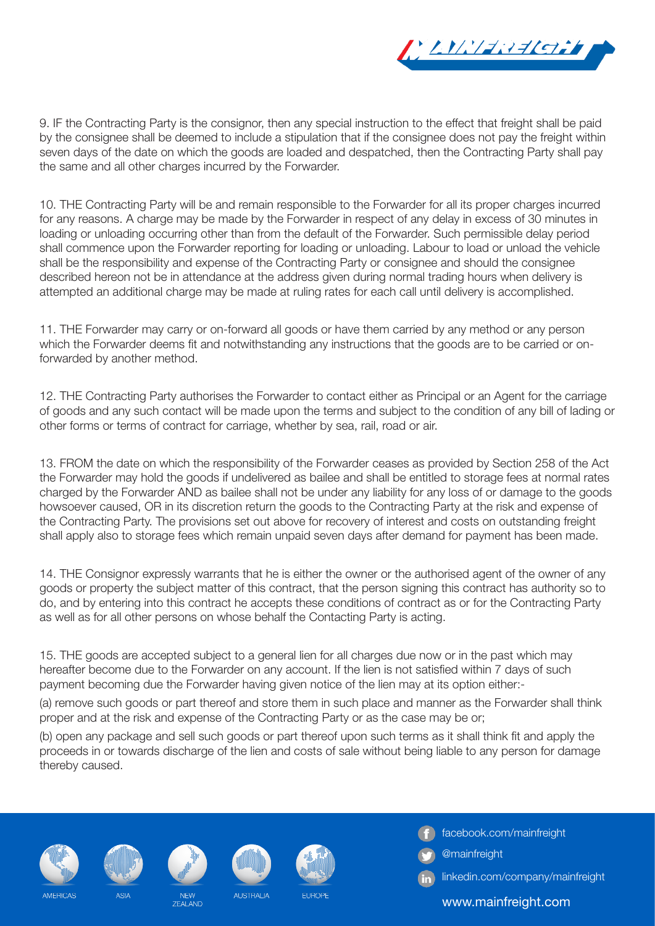

9. IF the Contracting Party is the consignor, then any special instruction to the effect that freight shall be paid by the consignee shall be deemed to include a stipulation that if the consignee does not pay the freight within seven days of the date on which the goods are loaded and despatched, then the Contracting Party shall pay the same and all other charges incurred by the Forwarder.

10. THE Contracting Party will be and remain responsible to the Forwarder for all its proper charges incurred for any reasons. A charge may be made by the Forwarder in respect of any delay in excess of 30 minutes in loading or unloading occurring other than from the default of the Forwarder. Such permissible delay period shall commence upon the Forwarder reporting for loading or unloading. Labour to load or unload the vehicle shall be the responsibility and expense of the Contracting Party or consignee and should the consignee described hereon not be in attendance at the address given during normal trading hours when delivery is attempted an additional charge may be made at ruling rates for each call until delivery is accomplished.

11. THE Forwarder may carry or on-forward all goods or have them carried by any method or any person which the Forwarder deems fit and notwithstanding any instructions that the goods are to be carried or onforwarded by another method.

12. THE Contracting Party authorises the Forwarder to contact either as Principal or an Agent for the carriage of goods and any such contact will be made upon the terms and subject to the condition of any bill of lading or other forms or terms of contract for carriage, whether by sea, rail, road or air.

13. FROM the date on which the responsibility of the Forwarder ceases as provided by Section 258 of the Act the Forwarder may hold the goods if undelivered as bailee and shall be entitled to storage fees at normal rates charged by the Forwarder AND as bailee shall not be under any liability for any loss of or damage to the goods howsoever caused, OR in its discretion return the goods to the Contracting Party at the risk and expense of the Contracting Party. The provisions set out above for recovery of interest and costs on outstanding freight shall apply also to storage fees which remain unpaid seven days after demand for payment has been made.

14. THE Consignor expressly warrants that he is either the owner or the authorised agent of the owner of any goods or property the subject matter of this contract, that the person signing this contract has authority so to do, and by entering into this contract he accepts these conditions of contract as or for the Contracting Party as well as for all other persons on whose behalf the Contacting Party is acting.

15. THE goods are accepted subject to a general lien for all charges due now or in the past which may hereafter become due to the Forwarder on any account. If the lien is not satisfied within 7 days of such payment becoming due the Forwarder having given notice of the lien may at its option either:-

(a) remove such goods or part thereof and store them in such place and manner as the Forwarder shall think proper and at the risk and expense of the Contracting Party or as the case may be or;

(b) open any package and sell such goods or part thereof upon such terms as it shall think fit and apply the proceeds in or towards discharge of the lien and costs of sale without being liable to any person for damage thereby caused.

**FUROPE** 











facebook.com/mainfreight

- @mainfreight
- linkedin.com/company/mainfreight

www.mainfreight.com

AUSTRALIA